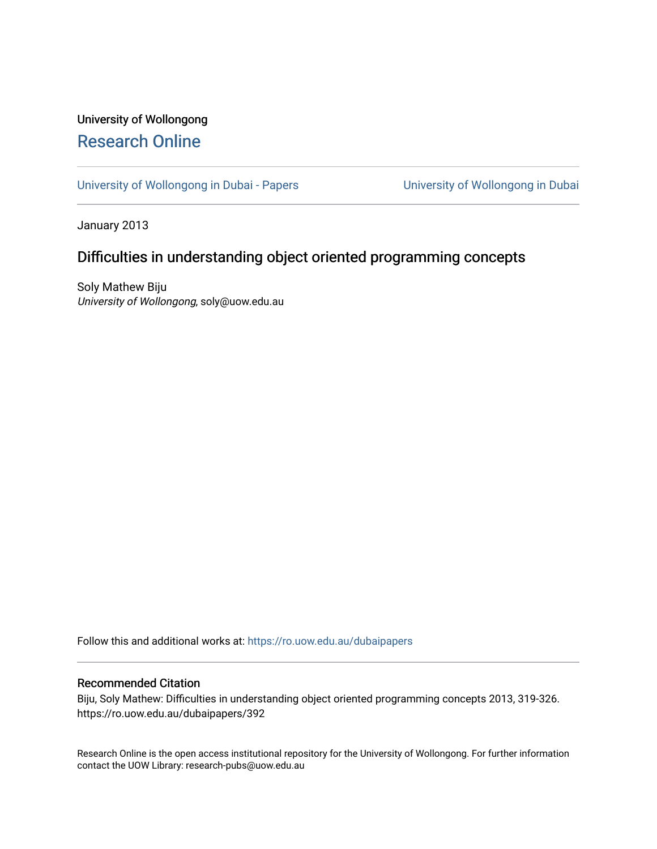# University of Wollongong [Research Online](https://ro.uow.edu.au/)

[University of Wollongong in Dubai - Papers](https://ro.uow.edu.au/dubaipapers) **University of Wollongong in Dubai** 

January 2013

# Difficulties in understanding object oriented programming concepts

Soly Mathew Biju University of Wollongong, soly@uow.edu.au

Follow this and additional works at: [https://ro.uow.edu.au/dubaipapers](https://ro.uow.edu.au/dubaipapers?utm_source=ro.uow.edu.au%2Fdubaipapers%2F392&utm_medium=PDF&utm_campaign=PDFCoverPages) 

# Recommended Citation

Biju, Soly Mathew: Difficulties in understanding object oriented programming concepts 2013, 319-326. https://ro.uow.edu.au/dubaipapers/392

Research Online is the open access institutional repository for the University of Wollongong. For further information contact the UOW Library: research-pubs@uow.edu.au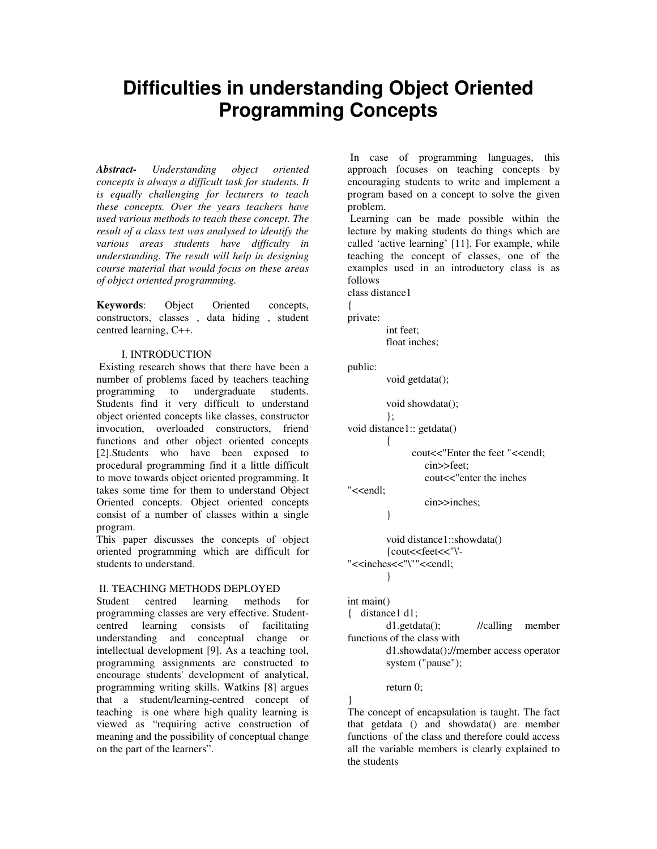# **Difficulties in understanding Object Oriented Programming Concepts**

*Abstract- Understanding object oriented concepts is always a difficult task for students. It is equally challenging for lecturers to teach these concepts. Over the years teachers have used various methods to teach these concept. The result of a class test was analysed to identify the various areas students have difficulty in understanding. The result will help in designing course material that would focus on these areas of object oriented programming.* 

**Keywords**: Object Oriented concepts, constructors, classes , data hiding , student centred learning, C++.

# I. INTRODUCTION

 Existing research shows that there have been a number of problems faced by teachers teaching programming to undergraduate students. Students find it very difficult to understand object oriented concepts like classes, constructor invocation, overloaded constructors, friend functions and other object oriented concepts [2].Students who have been exposed to procedural programming find it a little difficult to move towards object oriented programming. It takes some time for them to understand Object Oriented concepts. Object oriented concepts consist of a number of classes within a single program.

This paper discusses the concepts of object oriented programming which are difficult for students to understand.

## II. TEACHING METHODS DEPLOYED

Student centred learning methods for programming classes are very effective. Studentcentred learning consists of facilitating understanding and conceptual change or intellectual development [9]. As a teaching tool, programming assignments are constructed to encourage students' development of analytical, programming writing skills. Watkins [8] argues that a student/learning-centred concept of teaching is one where high quality learning is viewed as "requiring active construction of meaning and the possibility of conceptual change on the part of the learners".

 In case of programming languages, this approach focuses on teaching concepts by encouraging students to write and implement a program based on a concept to solve the given problem.

 Learning can be made possible within the lecture by making students do things which are called 'active learning' [11]. For example, while teaching the concept of classes, one of the examples used in an introductory class is as follows

class distance1

{

private:

 int feet; float inches;

public:

void getdata();

void showdata();

};

```
void distance1:: getdata() 
           {
```
cout<<"Enter the feet "<<endl:

cin>>feet;

cin>>inches;

cout<<"enter the inches

"<<endl:

}

 void distance1::showdata() {cout<<feet<<"\'- "<<inches<<"\""<<endl; }

int main()

{ distance1 d1; d1.getdata(); //calling member functions of the class with d1.showdata();//member access operator system ("pause");

## return 0;

} The concept of encapsulation is taught. The fact that getdata () and showdata() are member functions of the class and therefore could access all the variable members is clearly explained to the students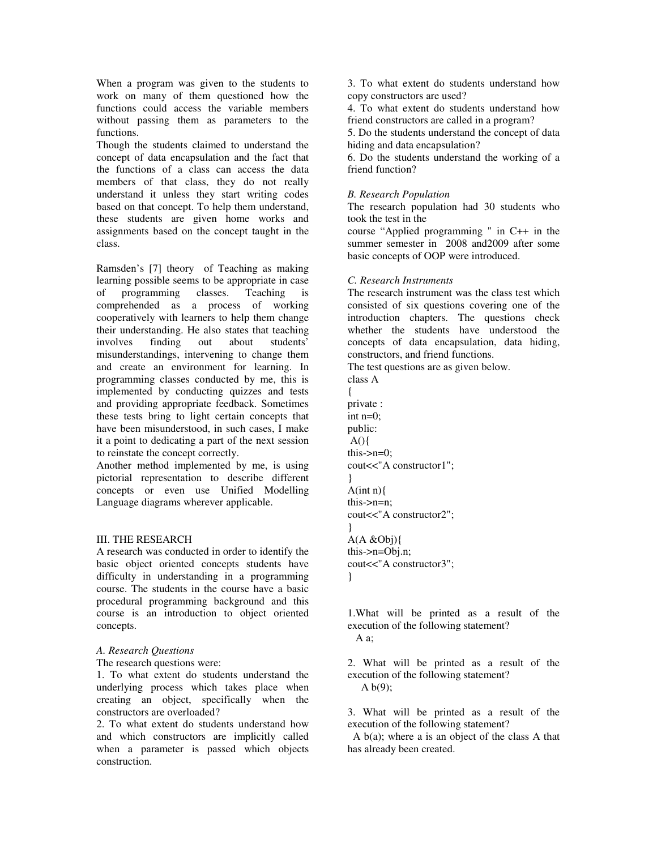When a program was given to the students to work on many of them questioned how the functions could access the variable members without passing them as parameters to the functions.

Though the students claimed to understand the concept of data encapsulation and the fact that the functions of a class can access the data members of that class, they do not really understand it unless they start writing codes based on that concept. To help them understand, these students are given home works and assignments based on the concept taught in the class.

Ramsden's [7] theory of Teaching as making learning possible seems to be appropriate in case of programming classes. Teaching is comprehended as a process of working cooperatively with learners to help them change their understanding. He also states that teaching involves finding out about students' misunderstandings, intervening to change them and create an environment for learning. In programming classes conducted by me, this is implemented by conducting quizzes and tests and providing appropriate feedback. Sometimes these tests bring to light certain concepts that have been misunderstood, in such cases, I make it a point to dedicating a part of the next session to reinstate the concept correctly.

Another method implemented by me, is using pictorial representation to describe different concepts or even use Unified Modelling Language diagrams wherever applicable.

#### III. THE RESEARCH

A research was conducted in order to identify the basic object oriented concepts students have difficulty in understanding in a programming course. The students in the course have a basic procedural programming background and this course is an introduction to object oriented concepts.

#### *A. Research Questions*

The research questions were:

1. To what extent do students understand the underlying process which takes place when creating an object, specifically when the constructors are overloaded?

2. To what extent do students understand how and which constructors are implicitly called when a parameter is passed which objects construction.

3. To what extent do students understand how copy constructors are used?

4. To what extent do students understand how friend constructors are called in a program?

5. Do the students understand the concept of data hiding and data encapsulation?

6. Do the students understand the working of a friend function?

### *B. Research Population*

The research population had 30 students who took the test in the

course "Applied programming " in C++ in the summer semester in 2008 and2009 after some basic concepts of OOP were introduced.

#### *C. Research Instruments*

The research instrument was the class test which consisted of six questions covering one of the introduction chapters. The questions check whether the students have understood the concepts of data encapsulation, data hiding, constructors, and friend functions.

The test questions are as given below.

class A { private : int n=0; public:  $A()$ this- $>n=0$ : cout<<"A constructor1"; }  $A(int n)$ this->n=n; cout<<"A constructor2"; }  $A(A \& Obi)$ this->n=Obj.n; cout<<"A constructor3"; }

1.What will be printed as a result of the execution of the following statement? A a;

2. What will be printed as a result of the execution of the following statement? A  $b(9)$ :

3. What will be printed as a result of the execution of the following statement?

 A b(a); where a is an object of the class A that has already been created.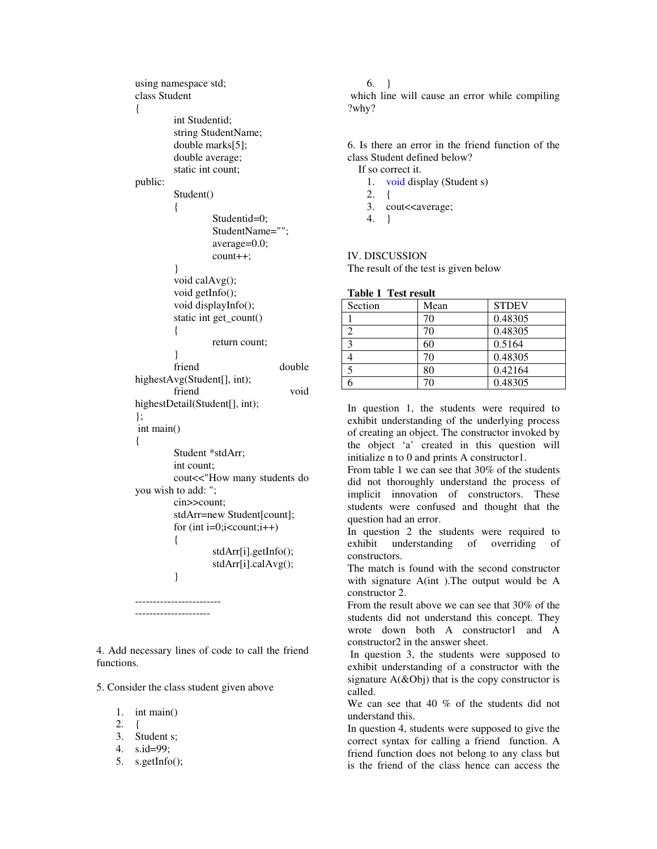```
using namespace std; 
class Student 
\mathbf{f} int Studentid; 
          string StudentName; 
          double marks[5]; 
          double average; 
          static int count; 
public: 
          Student() 
           { 
                    Studentid=0; 
                    StudentName=""; 
                    average=0.0; 
                    count++; 
           } 
          void calAvg(); 
          void getInfo(); 
          void displayInfo(); 
          static int get_count() 
           { 
                    return count; 
          } 
         friend double
highestAvg(Student[], int);
          friend void 
highestDetail(Student[], int); 
}; 
 int main() 
{ 
          Student *stdArr; 
          int count; 
          cout<<"How many students do 
you wish to add: "; 
          cin>>count; 
          stdArr=new Student[count]; 
         for (int i=0;i<count;i++)
           { 
                    stdArr[i].getInfo(); 
                    stdArr[i].calAvg(); 
          } 
------------------------
```
4. Add necessary lines of code to call the friend functions.

5. Consider the class student given above

---------------------

1. int main()

- $2. \t1$
- 3. Student s;
- 4. s.id=99;
- 5. s.getInfo();

6. }

 which line will cause an error while compiling ?why?

6. Is there an error in the friend function of the class Student defined below?

- If so correct it.
	- 1. void display (Student s)
	- 2. {
	- 3. cout<<average;
	- 4. }

# IV. DISCUSSION

The result of the test is given below

| <b>Table 1 Test result</b> |
|----------------------------|
|----------------------------|

| Section      | Mean | <b>STDEV</b> |
|--------------|------|--------------|
|              | 70   | 0.48305      |
|              | 70   | 0.48305      |
| $\mathbf{c}$ | 60   | 0.5164       |
|              | 70   | 0.48305      |
| .5           | 80   | 0.42164      |
|              |      | 0.48305      |

In question 1, the students were required to exhibit understanding of the underlying process of creating an object. The constructor invoked by the object 'a' created in this question will initialize n to 0 and prints A constructor1.

From table 1 we can see that 30% of the students did not thoroughly understand the process of implicit innovation of constructors. These students were confused and thought that the question had an error.

In question 2 the students were required to exhibit understanding of overriding of constructors.

The match is found with the second constructor with signature A(int ).The output would be A constructor 2.

From the result above we can see that 30% of the students did not understand this concept. They wrote down both A constructor1 and A constructor2 in the answer sheet.

 In question 3, the students were supposed to exhibit understanding of a constructor with the signature  $A(\&Ob)$  that is the copy constructor is called.

We can see that 40 % of the students did not understand this.

In question 4, students were supposed to give the correct syntax for calling a friend function. A friend function does not belong to any class but is the friend of the class hence can access the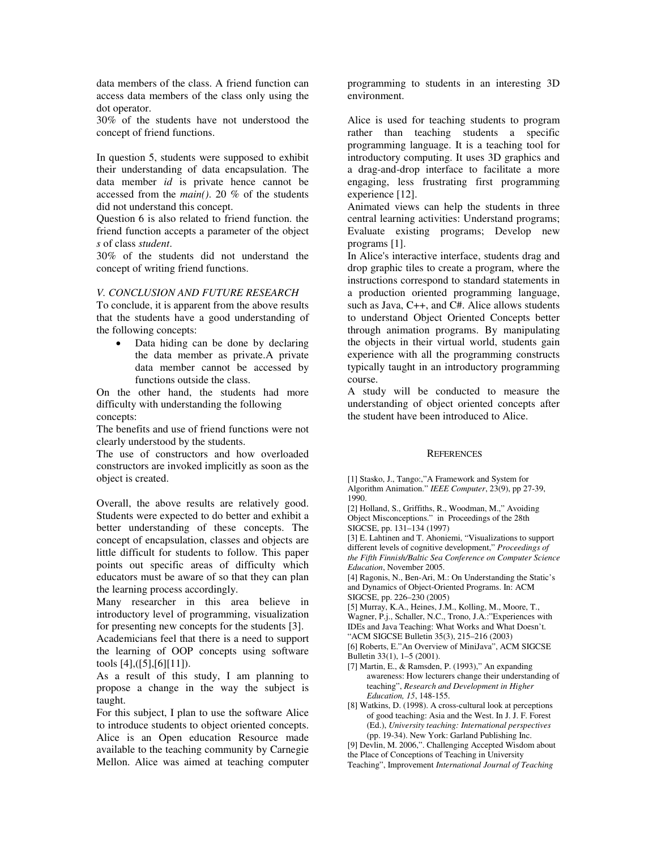data members of the class. A friend function can access data members of the class only using the dot operator.

30% of the students have not understood the concept of friend functions.

In question 5, students were supposed to exhibit their understanding of data encapsulation. The data member *id* is private hence cannot be accessed from the *main()*. 20 % of the students did not understand this concept.

Question 6 is also related to friend function. the friend function accepts a parameter of the object *s* of class *student*.

30% of the students did not understand the concept of writing friend functions.

#### *V. CONCLUSION AND FUTURE RESEARCH*

To conclude, it is apparent from the above results that the students have a good understanding of the following concepts:

Data hiding can be done by declaring the data member as private.A private data member cannot be accessed by functions outside the class.

On the other hand, the students had more difficulty with understanding the following concepts:

The benefits and use of friend functions were not clearly understood by the students.

The use of constructors and how overloaded constructors are invoked implicitly as soon as the object is created.

Overall, the above results are relatively good. Students were expected to do better and exhibit a better understanding of these concepts. The concept of encapsulation, classes and objects are little difficult for students to follow. This paper points out specific areas of difficulty which educators must be aware of so that they can plan the learning process accordingly.

Many researcher in this area believe in introductory level of programming, visualization for presenting new concepts for the students [3].

Academicians feel that there is a need to support the learning of OOP concepts using software tools [4],([5],[6][11]).

As a result of this study, I am planning to propose a change in the way the subject is taught.

For this subject, I plan to use the software Alice to introduce students to object oriented concepts. Alice is an Open education Resource made available to the teaching community by Carnegie Mellon. Alice was aimed at teaching computer

programming to students in an interesting 3D environment.

Alice is used for teaching students to program rather than teaching students a specific programming language. It is a teaching tool for introductory computing. It uses 3D graphics and a drag-and-drop interface to facilitate a more engaging, less frustrating first programming experience [12].

Animated views can help the students in three central learning activities: Understand programs; Evaluate existing programs; Develop new programs [1].

In Alice's interactive interface, students drag and drop graphic tiles to create a program, where the instructions correspond to standard statements in a production oriented programming language, such as Java, C++, and C#. Alice allows students to understand Object Oriented Concepts better through animation programs. By manipulating the objects in their virtual world, students gain experience with all the programming constructs typically taught in an introductory programming course.

A study will be conducted to measure the understanding of object oriented concepts after the student have been introduced to Alice.

#### **REFERENCES**

[1] Stasko, J., Tango:,"A Framework and System for Algorithm Animation." *IEEE Computer*, 23(9), pp 27-39, 1990.

[2] Holland, S., Griffiths, R., Woodman, M.," Avoiding Object Misconceptions." in Proceedings of the 28th SIGCSE, pp. 131–134 (1997)

[3] E. Lahtinen and T. Ahoniemi, "Visualizations to support different levels of cognitive development," *Proceedings of the Fifth Finnish/Baltic Sea Conference on Computer Science Education*, November 2005.

[4] Ragonis, N., Ben-Ari, M.: On Understanding the Static's and Dynamics of Object-Oriented Programs. In: ACM SIGCSE, pp. 226–230 (2005)

[5] Murray, K.A., Heines, J.M., Kolling, M., Moore, T., Wagner, P.j., Schaller, N.C., Trono, J.A.:"Experiences with IDEs and Java Teaching: What Works and What Doesn't.

"ACM SIGCSE Bulletin 35(3), 215–216 (2003)

[6] Roberts, E."An Overview of MiniJava", ACM SIGCSE Bulletin 33(1), 1–5 (2001).

[7] Martin, E., & Ramsden, P. (1993)," An expanding awareness: How lecturers change their understanding of teaching", *Research and Development in Higher Education, 15*, 148-155.

[8] Watkins, D. (1998). A cross-cultural look at perceptions of good teaching: Asia and the West. In J. J. F. Forest (Ed.), *University teaching: International perspectives*  (pp. 19-34). New York: Garland Publishing Inc.

[9] Devlin, M. 2006,". Challenging Accepted Wisdom about

the Place of Conceptions of Teaching in University

Teaching", Improvement *International Journal of Teaching*